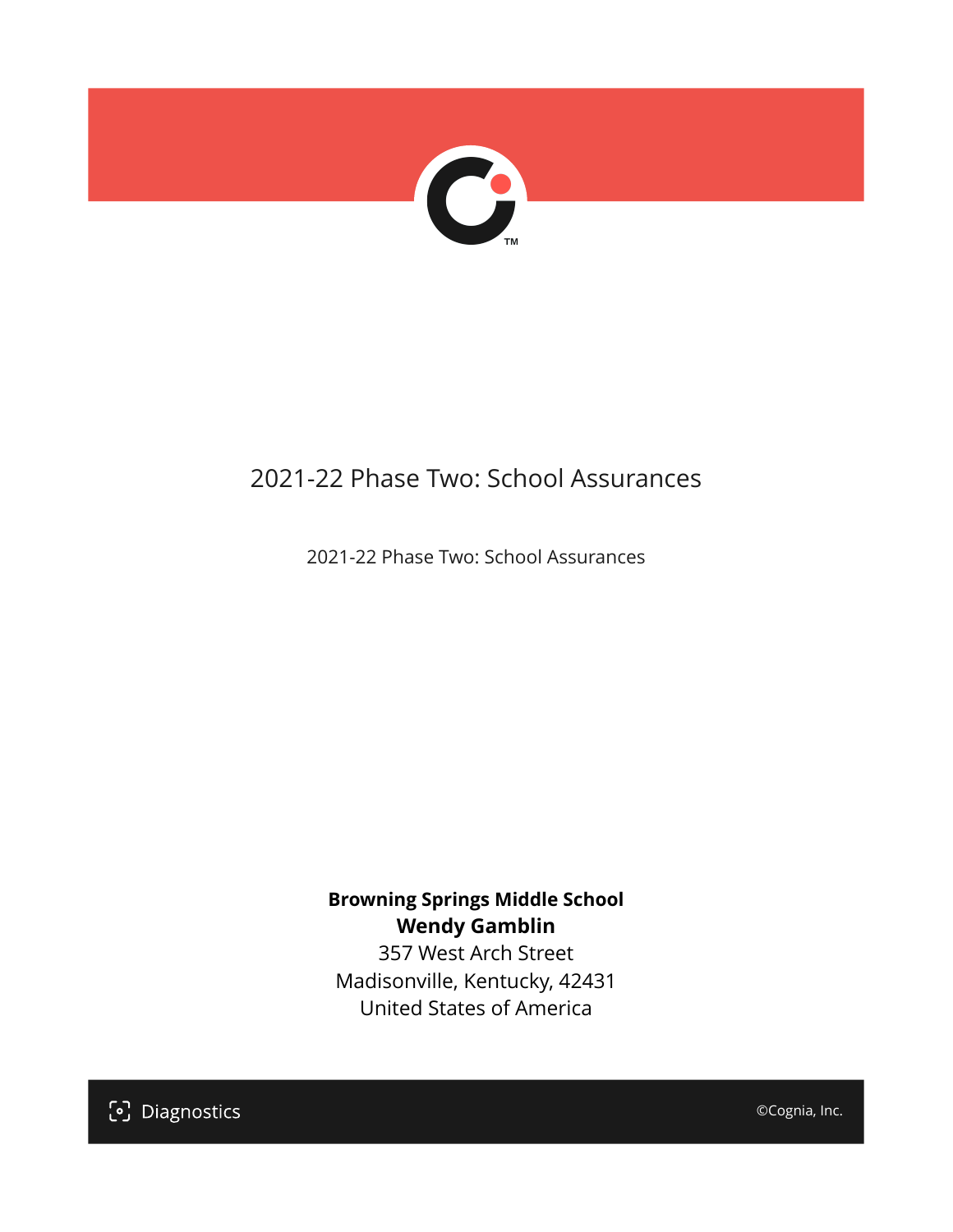

# 2021-22 Phase Two: School Assurances

2021-22 Phase Two: School Assurances

**Browning Springs Middle School Wendy Gamblin** 357 West Arch Street

Madisonville, Kentucky, 42431 United States of America

[၁] Diagnostics

©Cognia, Inc.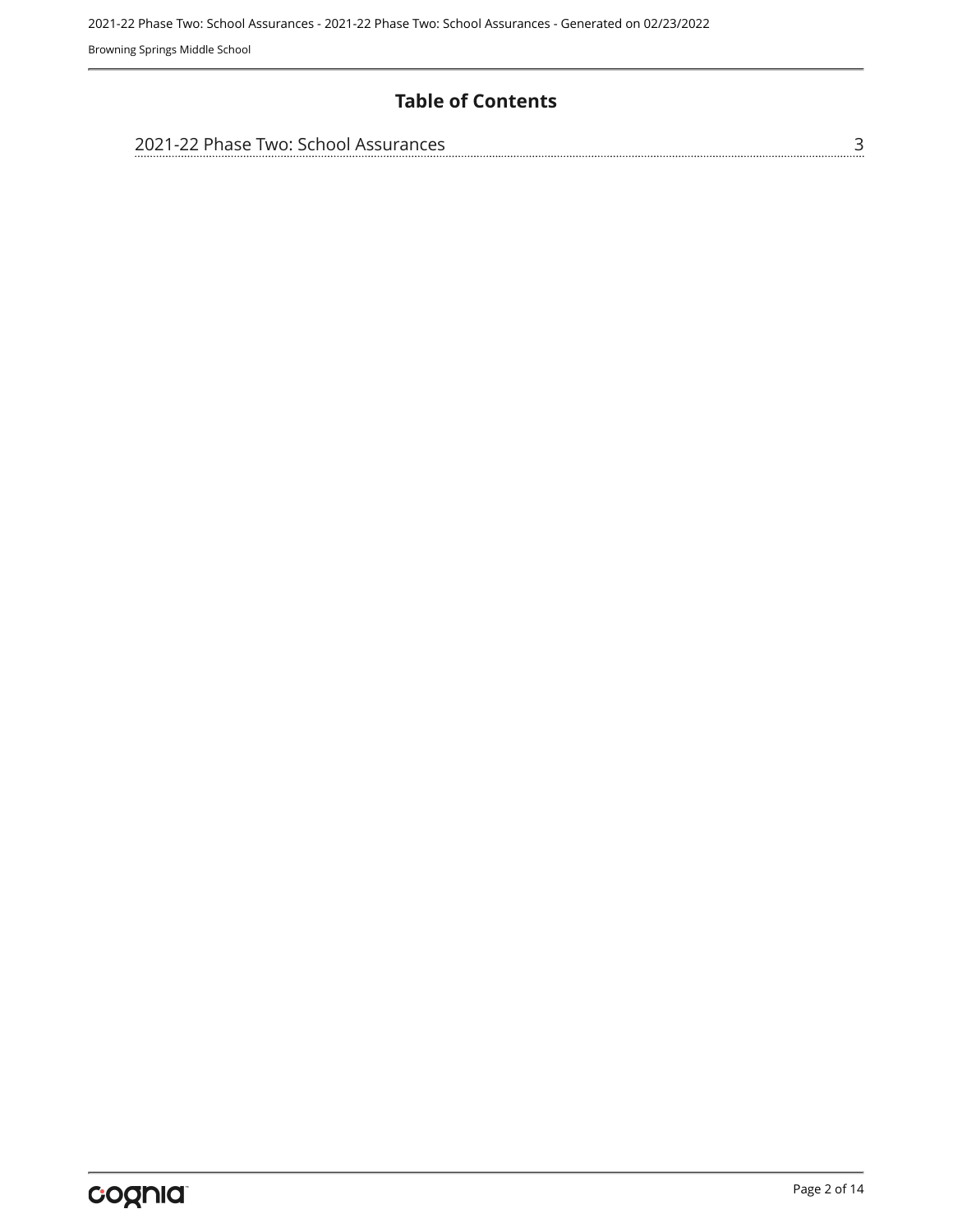### **Table of Contents**

| 2021-22 Phase Two: School Assurances |  |
|--------------------------------------|--|
|                                      |  |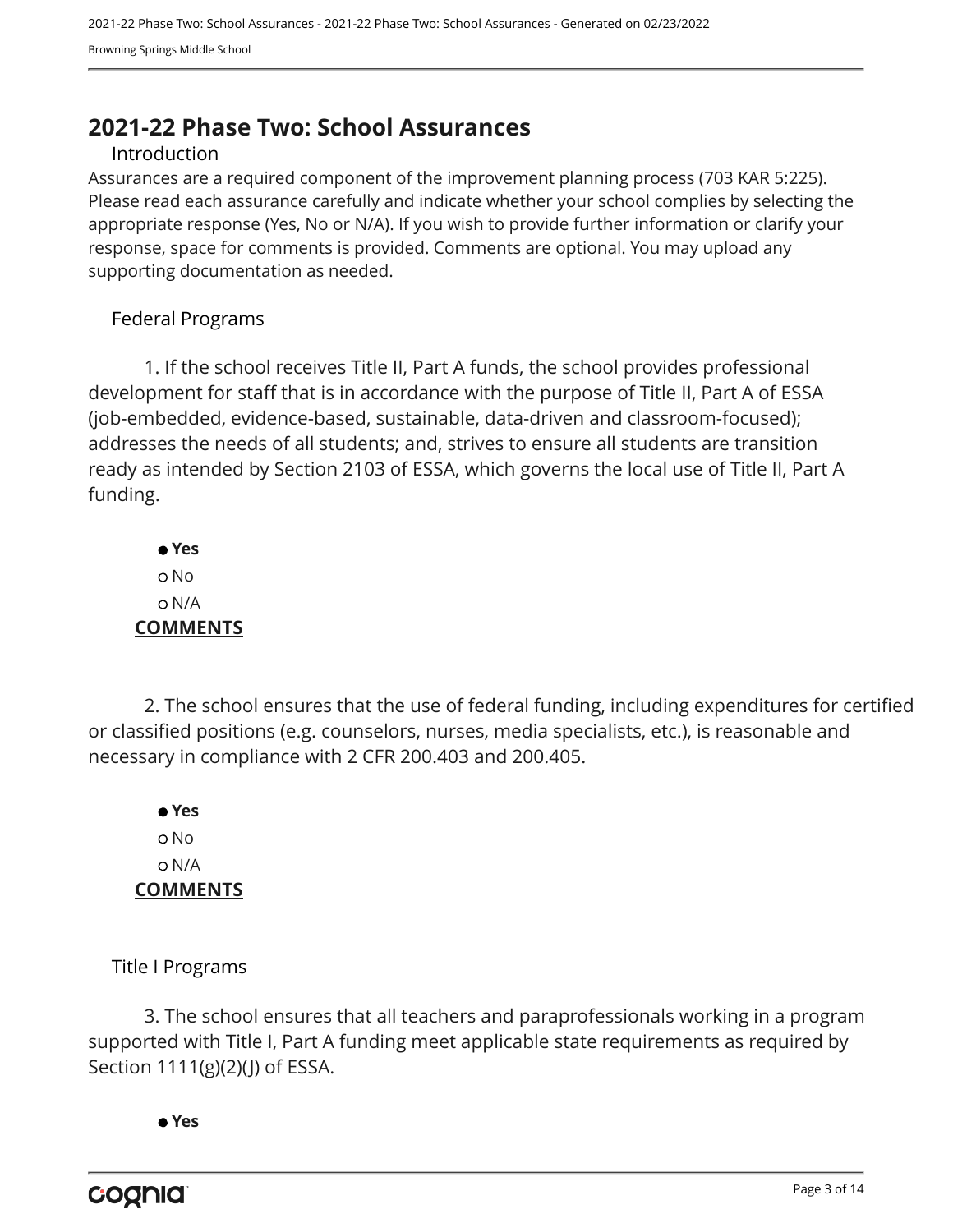# <span id="page-2-0"></span>**2021-22 Phase Two: School Assurances**

#### Introduction

Assurances are a required component of the improvement planning process (703 KAR 5:225). Please read each assurance carefully and indicate whether your school complies by selecting the appropriate response (Yes, No or N/A). If you wish to provide further information or clarify your response, space for comments is provided. Comments are optional. You may upload any supporting documentation as needed.

#### Federal Programs

1. If the school receives Title II, Part A funds, the school provides professional development for staff that is in accordance with the purpose of Title II, Part A of ESSA (job-embedded, evidence-based, sustainable, data-driven and classroom-focused); addresses the needs of all students; and, strives to ensure all students are transition ready as intended by Section 2103 of ESSA, which governs the local use of Title II, Part A funding.

 **Yes** o No N/A **COMMENTS**

2. The school ensures that the use of federal funding, including expenditures for certified or classified positions (e.g. counselors, nurses, media specialists, etc.), is reasonable and necessary in compliance with 2 CFR 200.403 and 200.405.

 **Yes** o No N/A **COMMENTS**

Title I Programs

3. The school ensures that all teachers and paraprofessionals working in a program supported with Title I, Part A funding meet applicable state requirements as required by Section 1111(g)(2)(J) of ESSA.

 **Yes**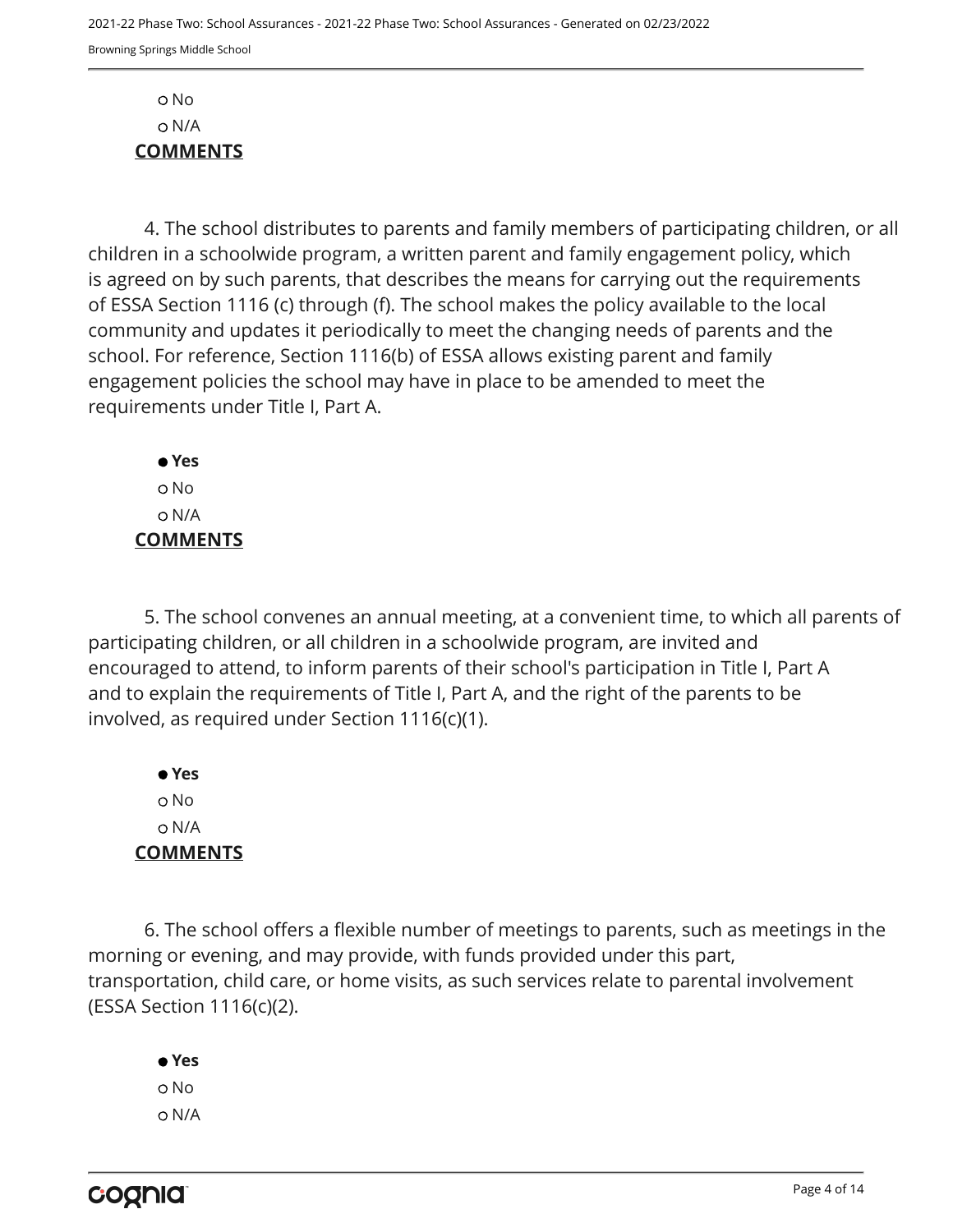No N/A **COMMENTS**

4. The school distributes to parents and family members of participating children, or all children in a schoolwide program, a written parent and family engagement policy, which is agreed on by such parents, that describes the means for carrying out the requirements of ESSA Section 1116 (c) through (f). The school makes the policy available to the local community and updates it periodically to meet the changing needs of parents and the school. For reference, Section 1116(b) of ESSA allows existing parent and family engagement policies the school may have in place to be amended to meet the requirements under Title I, Part A.

 **Yes** No N/A **COMMENTS**

5. The school convenes an annual meeting, at a convenient time, to which all parents of participating children, or all children in a schoolwide program, are invited and encouraged to attend, to inform parents of their school's participation in Title I, Part A and to explain the requirements of Title I, Part A, and the right of the parents to be involved, as required under Section 1116(c)(1).

 **Yes** o No N/A **COMMENTS**

6. The school offers a flexible number of meetings to parents, such as meetings in the morning or evening, and may provide, with funds provided under this part, transportation, child care, or home visits, as such services relate to parental involvement (ESSA Section 1116(c)(2).

 **Yes** o No N/A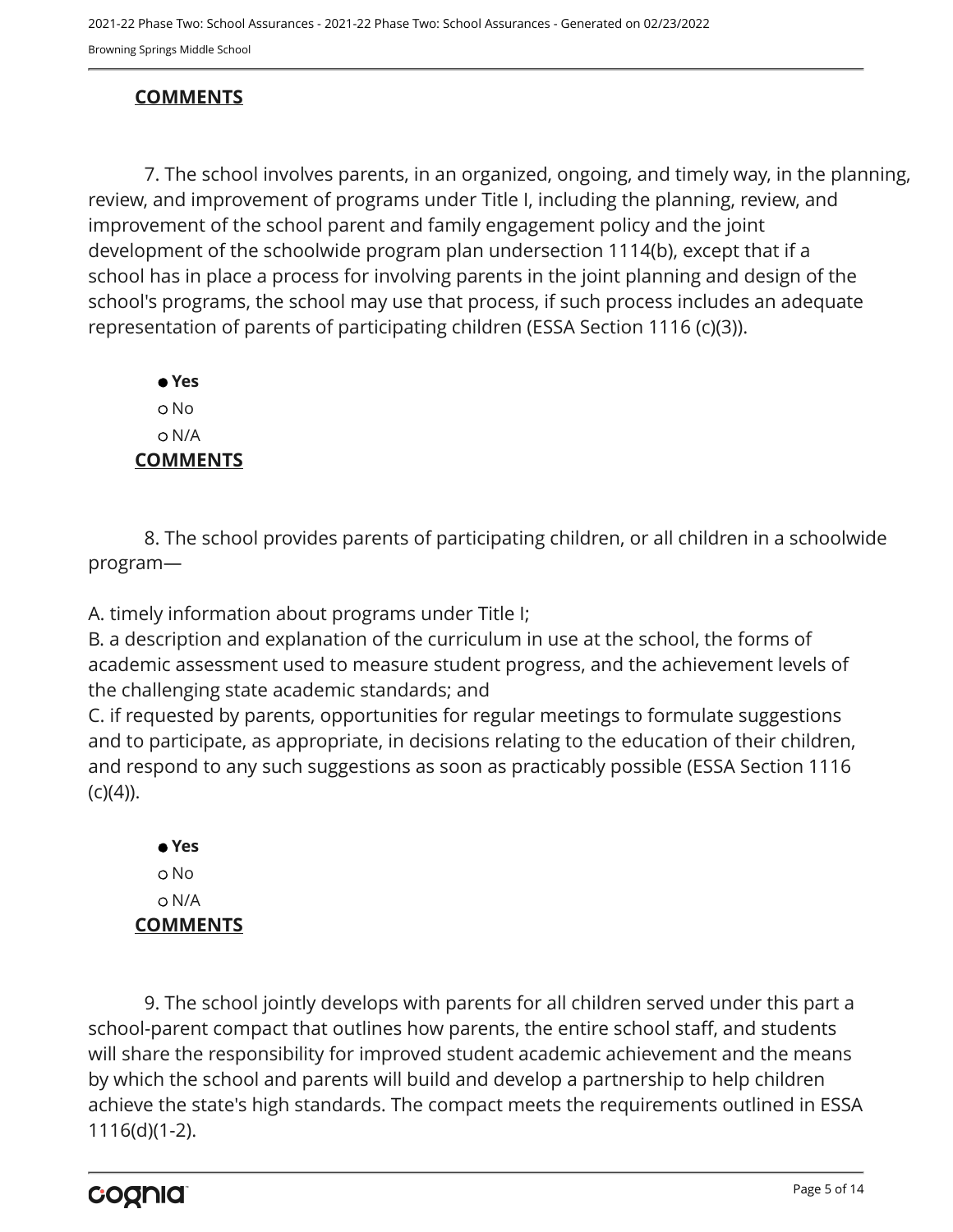## **COMMENTS**

7. The school involves parents, in an organized, ongoing, and timely way, in the planning, review, and improvement of programs under Title I, including the planning, review, and improvement of the school parent and family engagement policy and the joint development of the schoolwide program plan undersection 1114(b), except that if a school has in place a process for involving parents in the joint planning and design of the school's programs, the school may use that process, if such process includes an adequate representation of parents of participating children (ESSA Section 1116 (c)(3)).

 **Yes** No N/A **COMMENTS**

8. The school provides parents of participating children, or all children in a schoolwide program—

A. timely information about programs under Title I;

B. a description and explanation of the curriculum in use at the school, the forms of academic assessment used to measure student progress, and the achievement levels of the challenging state academic standards; and

C. if requested by parents, opportunities for regular meetings to formulate suggestions and to participate, as appropriate, in decisions relating to the education of their children, and respond to any such suggestions as soon as practicably possible (ESSA Section 1116  $(c)(4)$ ).

 **Yes** o No N/A **COMMENTS**

9. The school jointly develops with parents for all children served under this part a school-parent compact that outlines how parents, the entire school staff, and students will share the responsibility for improved student academic achievement and the means by which the school and parents will build and develop a partnership to help children achieve the state's high standards. The compact meets the requirements outlined in ESSA 1116(d)(1-2).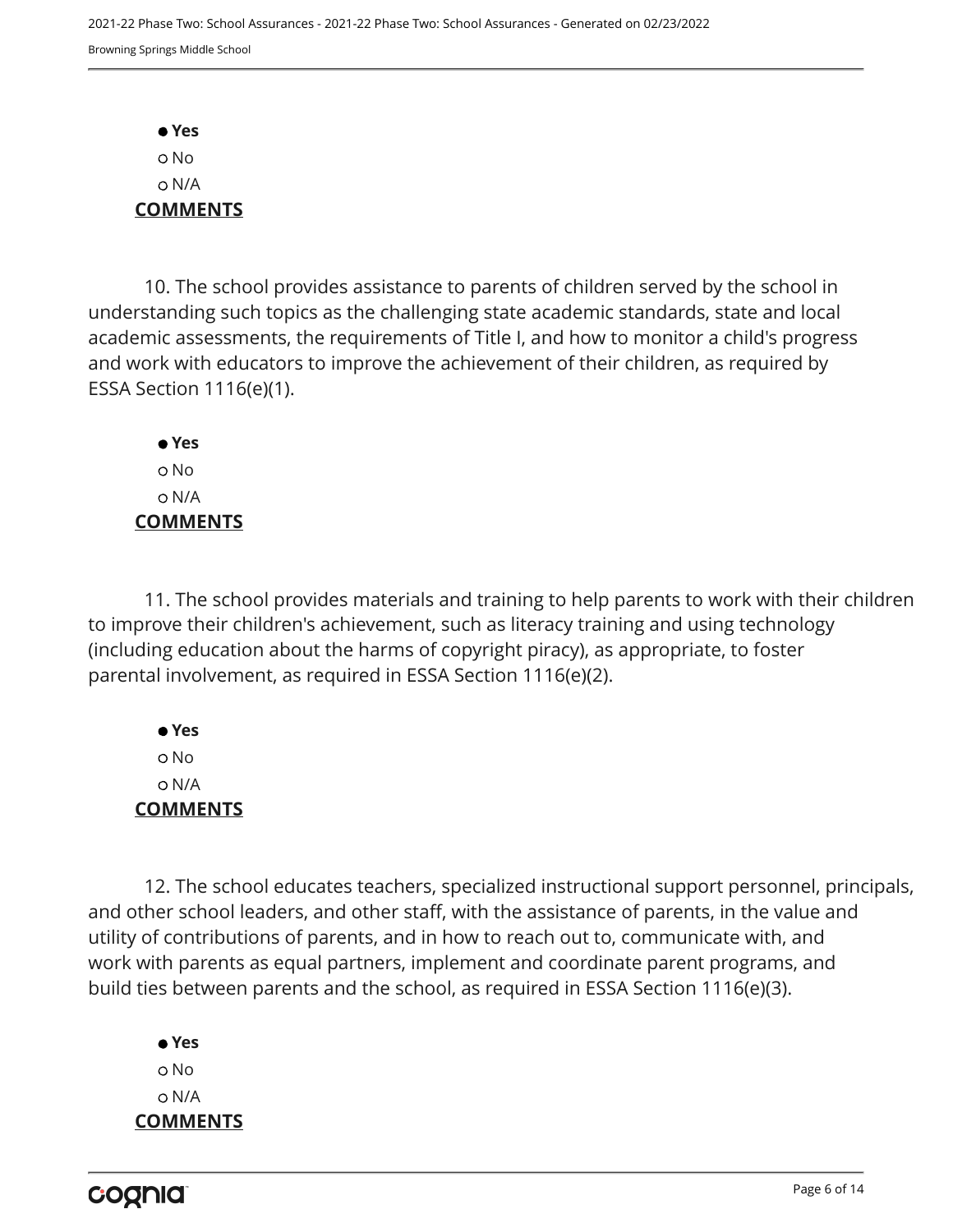**Yes** No N/A **COMMENTS**

10. The school provides assistance to parents of children served by the school in understanding such topics as the challenging state academic standards, state and local academic assessments, the requirements of Title I, and how to monitor a child's progress and work with educators to improve the achievement of their children, as required by ESSA Section 1116(e)(1).

 **Yes** o No N/A **COMMENTS**

11. The school provides materials and training to help parents to work with their children to improve their children's achievement, such as literacy training and using technology (including education about the harms of copyright piracy), as appropriate, to foster parental involvement, as required in ESSA Section 1116(e)(2).

 **Yes** No N/A **COMMENTS**

12. The school educates teachers, specialized instructional support personnel, principals, and other school leaders, and other staff, with the assistance of parents, in the value and utility of contributions of parents, and in how to reach out to, communicate with, and work with parents as equal partners, implement and coordinate parent programs, and build ties between parents and the school, as required in ESSA Section 1116(e)(3).

 **Yes** o No N/A **COMMENTS**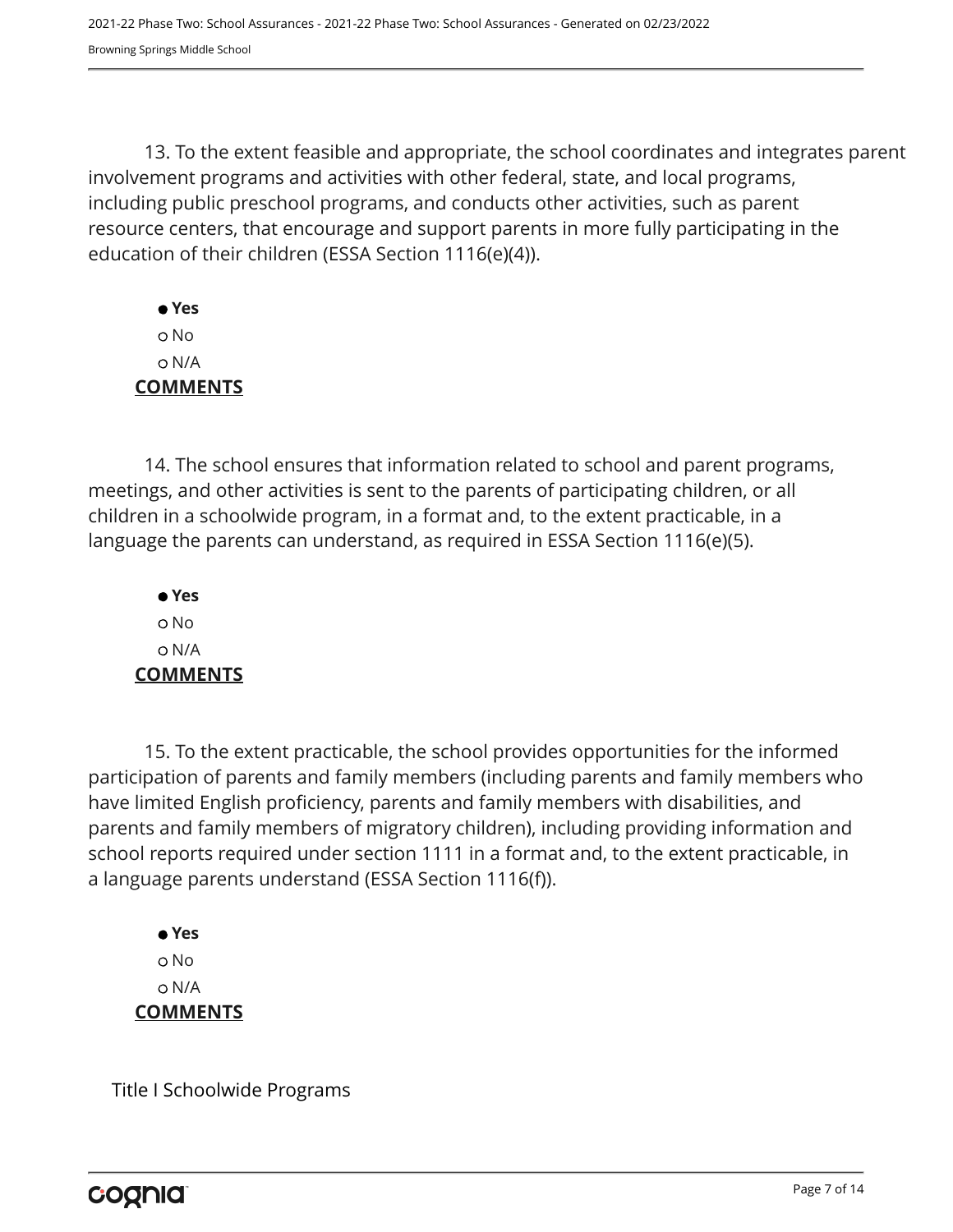13. To the extent feasible and appropriate, the school coordinates and integrates parent involvement programs and activities with other federal, state, and local programs, including public preschool programs, and conducts other activities, such as parent resource centers, that encourage and support parents in more fully participating in the education of their children (ESSA Section 1116(e)(4)).

 **Yes** No N/A **COMMENTS**

14. The school ensures that information related to school and parent programs, meetings, and other activities is sent to the parents of participating children, or all children in a schoolwide program, in a format and, to the extent practicable, in a language the parents can understand, as required in ESSA Section 1116(e)(5).

 **Yes** o No N/A **COMMENTS**

15. To the extent practicable, the school provides opportunities for the informed participation of parents and family members (including parents and family members who have limited English proficiency, parents and family members with disabilities, and parents and family members of migratory children), including providing information and school reports required under section 1111 in a format and, to the extent practicable, in a language parents understand (ESSA Section 1116(f)).

 **Yes** o No N/A **COMMENTS**

Title I Schoolwide Programs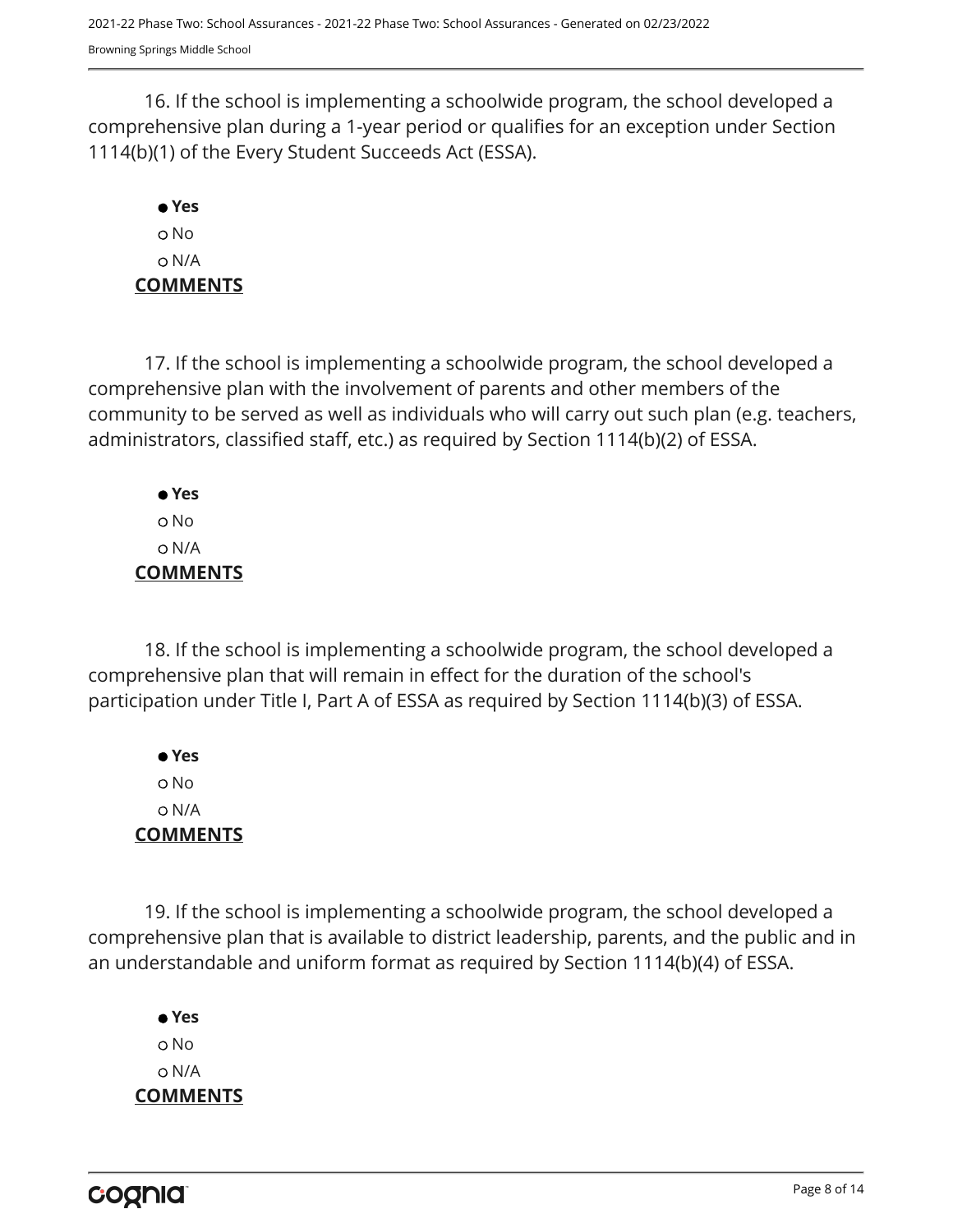16. If the school is implementing a schoolwide program, the school developed a comprehensive plan during a 1-year period or qualifies for an exception under Section 1114(b)(1) of the Every Student Succeeds Act (ESSA).

# **Yes** No N/A **COMMENTS**

17. If the school is implementing a schoolwide program, the school developed a comprehensive plan with the involvement of parents and other members of the community to be served as well as individuals who will carry out such plan (e.g. teachers, administrators, classified staff, etc.) as required by Section 1114(b)(2) of ESSA.

 **Yes** No N/A **COMMENTS**

18. If the school is implementing a schoolwide program, the school developed a comprehensive plan that will remain in effect for the duration of the school's participation under Title I, Part A of ESSA as required by Section 1114(b)(3) of ESSA.

 **Yes** No N/A **COMMENTS**

19. If the school is implementing a schoolwide program, the school developed a comprehensive plan that is available to district leadership, parents, and the public and in an understandable and uniform format as required by Section 1114(b)(4) of ESSA.

 **Yes** o No N/A **COMMENTS**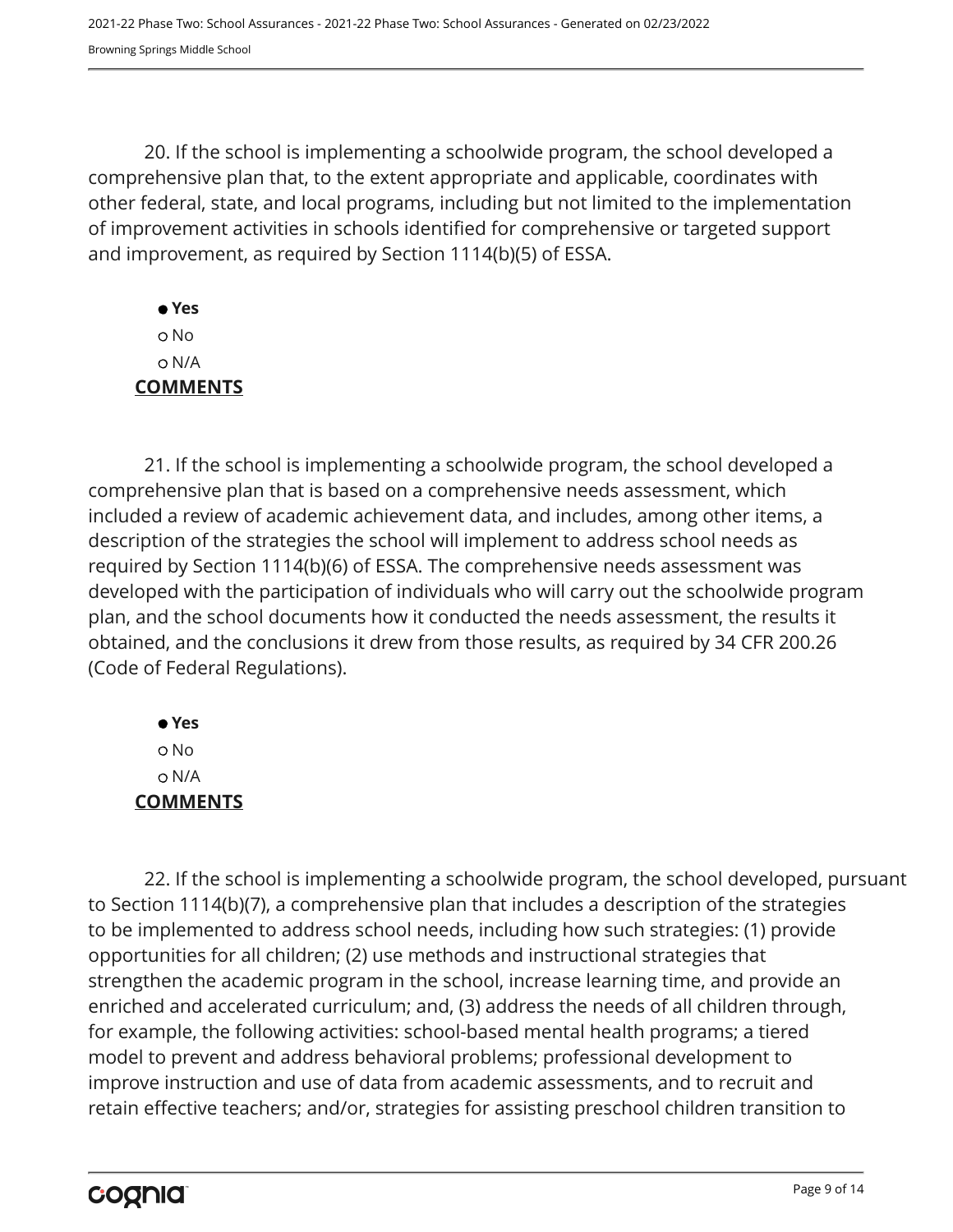20. If the school is implementing a schoolwide program, the school developed a comprehensive plan that, to the extent appropriate and applicable, coordinates with other federal, state, and local programs, including but not limited to the implementation of improvement activities in schools identified for comprehensive or targeted support and improvement, as required by Section 1114(b)(5) of ESSA.

 **Yes** No N/A **COMMENTS**

21. If the school is implementing a schoolwide program, the school developed a comprehensive plan that is based on a comprehensive needs assessment, which included a review of academic achievement data, and includes, among other items, a description of the strategies the school will implement to address school needs as required by Section 1114(b)(6) of ESSA. The comprehensive needs assessment was developed with the participation of individuals who will carry out the schoolwide program plan, and the school documents how it conducted the needs assessment, the results it obtained, and the conclusions it drew from those results, as required by 34 CFR 200.26 (Code of Federal Regulations).

 **Yes** No N/A **COMMENTS**

22. If the school is implementing a schoolwide program, the school developed, pursuant to Section 1114(b)(7), a comprehensive plan that includes a description of the strategies to be implemented to address school needs, including how such strategies: (1) provide opportunities for all children; (2) use methods and instructional strategies that strengthen the academic program in the school, increase learning time, and provide an enriched and accelerated curriculum; and, (3) address the needs of all children through, for example, the following activities: school-based mental health programs; a tiered model to prevent and address behavioral problems; professional development to improve instruction and use of data from academic assessments, and to recruit and retain effective teachers; and/or, strategies for assisting preschool children transition to

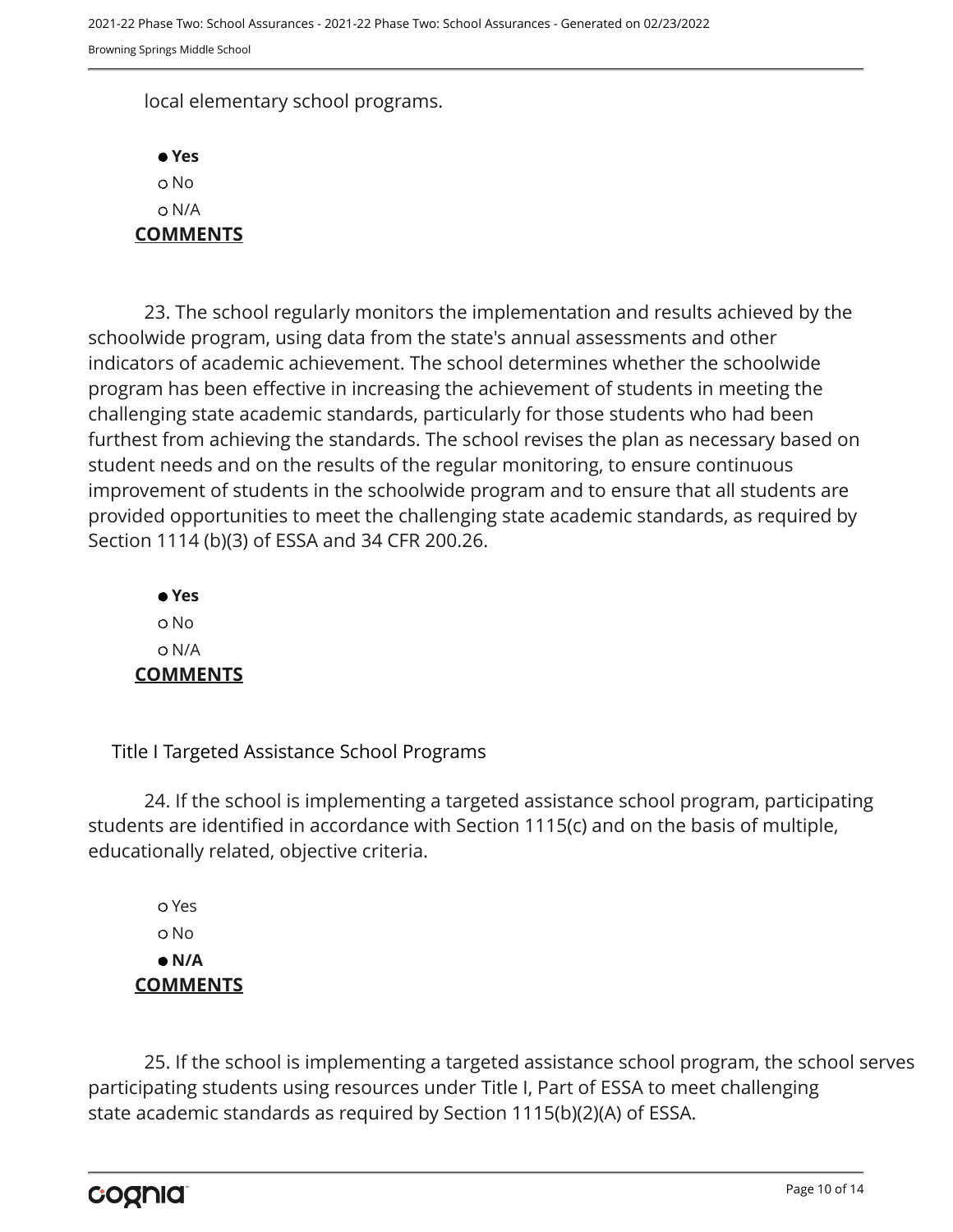local elementary school programs.



23. The school regularly monitors the implementation and results achieved by the schoolwide program, using data from the state's annual assessments and other indicators of academic achievement. The school determines whether the schoolwide program has been effective in increasing the achievement of students in meeting the challenging state academic standards, particularly for those students who had been furthest from achieving the standards. The school revises the plan as necessary based on student needs and on the results of the regular monitoring, to ensure continuous improvement of students in the schoolwide program and to ensure that all students are provided opportunities to meet the challenging state academic standards, as required by Section 1114 (b)(3) of ESSA and 34 CFR 200.26.

 **Yes** o No N/A **COMMENTS**

Title I Targeted Assistance School Programs

24. If the school is implementing a targeted assistance school program, participating students are identified in accordance with Section 1115(c) and on the basis of multiple, educationally related, objective criteria.

 Yes o No  **N/A COMMENTS**

25. If the school is implementing a targeted assistance school program, the school serves participating students using resources under Title I, Part of ESSA to meet challenging state academic standards as required by Section 1115(b)(2)(A) of ESSA.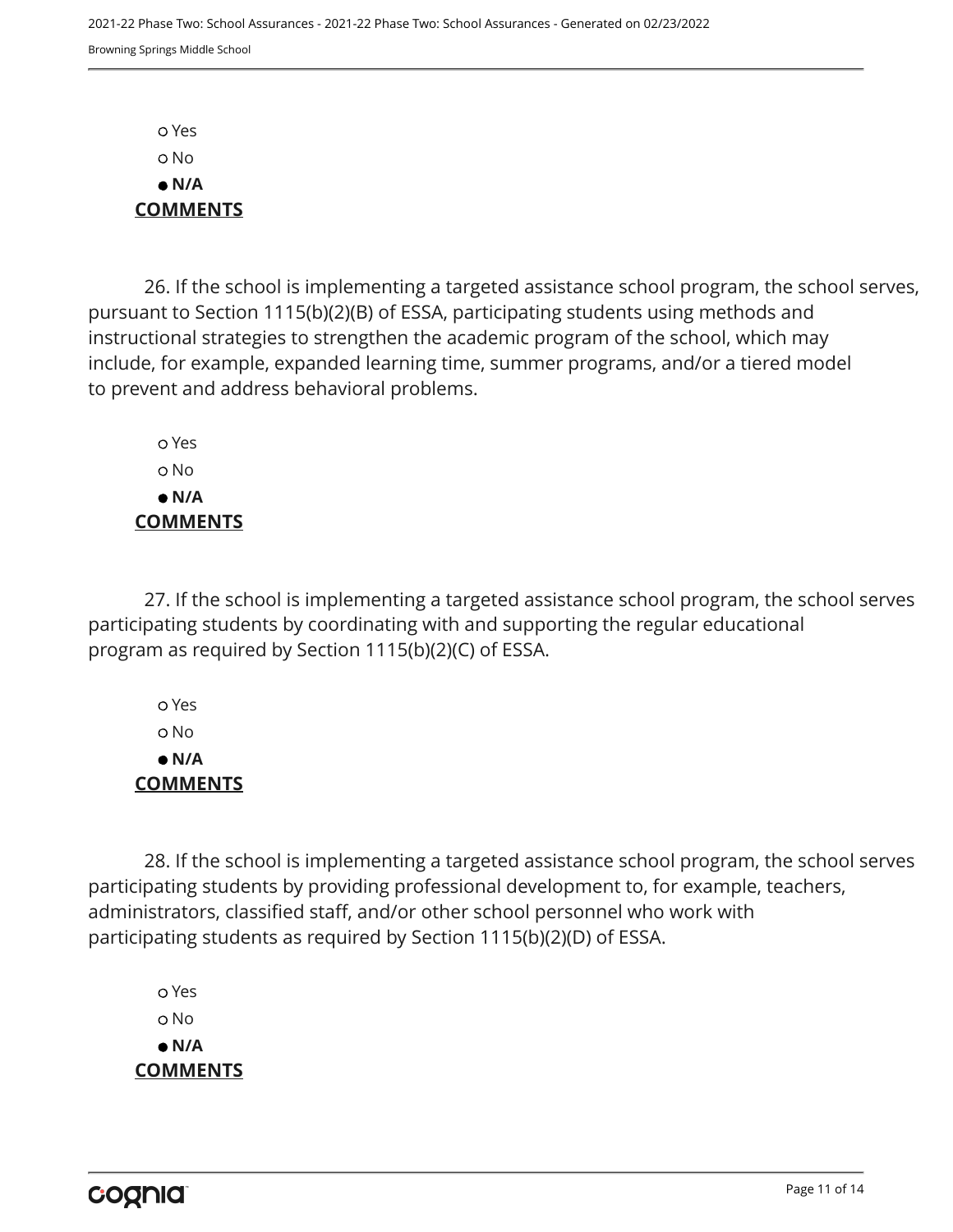Yes No  **N/A COMMENTS**

26. If the school is implementing a targeted assistance school program, the school serves, pursuant to Section 1115(b)(2)(B) of ESSA, participating students using methods and instructional strategies to strengthen the academic program of the school, which may include, for example, expanded learning time, summer programs, and/or a tiered model to prevent and address behavioral problems.

 Yes o No  **N/A COMMENTS**

27. If the school is implementing a targeted assistance school program, the school serves participating students by coordinating with and supporting the regular educational program as required by Section 1115(b)(2)(C) of ESSA.

 Yes No  **N/A COMMENTS**

28. If the school is implementing a targeted assistance school program, the school serves participating students by providing professional development to, for example, teachers, administrators, classified staff, and/or other school personnel who work with participating students as required by Section 1115(b)(2)(D) of ESSA.

 Yes o No  **N/A COMMENTS**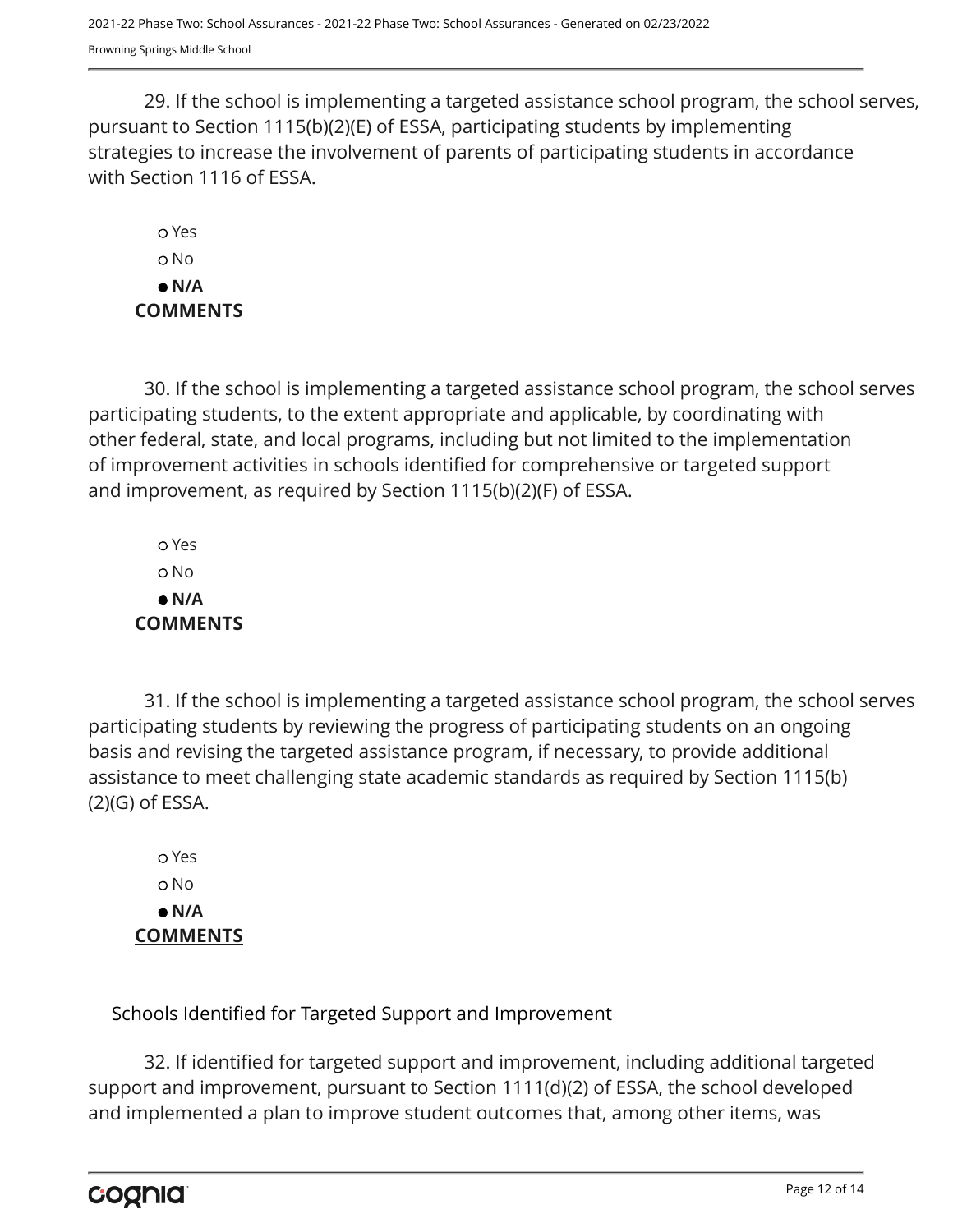29. If the school is implementing a targeted assistance school program, the school serves, pursuant to Section 1115(b)(2)(E) of ESSA, participating students by implementing strategies to increase the involvement of parents of participating students in accordance with Section 1116 of ESSA.

 Yes o No  **N/A COMMENTS**

30. If the school is implementing a targeted assistance school program, the school serves participating students, to the extent appropriate and applicable, by coordinating with other federal, state, and local programs, including but not limited to the implementation of improvement activities in schools identified for comprehensive or targeted support and improvement, as required by Section 1115(b)(2)(F) of ESSA.

 Yes No  **N/A COMMENTS**

31. If the school is implementing a targeted assistance school program, the school serves participating students by reviewing the progress of participating students on an ongoing basis and revising the targeted assistance program, if necessary, to provide additional assistance to meet challenging state academic standards as required by Section 1115(b) (2)(G) of ESSA.

 Yes No  **N/A COMMENTS**

Schools Identified for Targeted Support and Improvement

32. If identified for targeted support and improvement, including additional targeted support and improvement, pursuant to Section 1111(d)(2) of ESSA, the school developed and implemented a plan to improve student outcomes that, among other items, was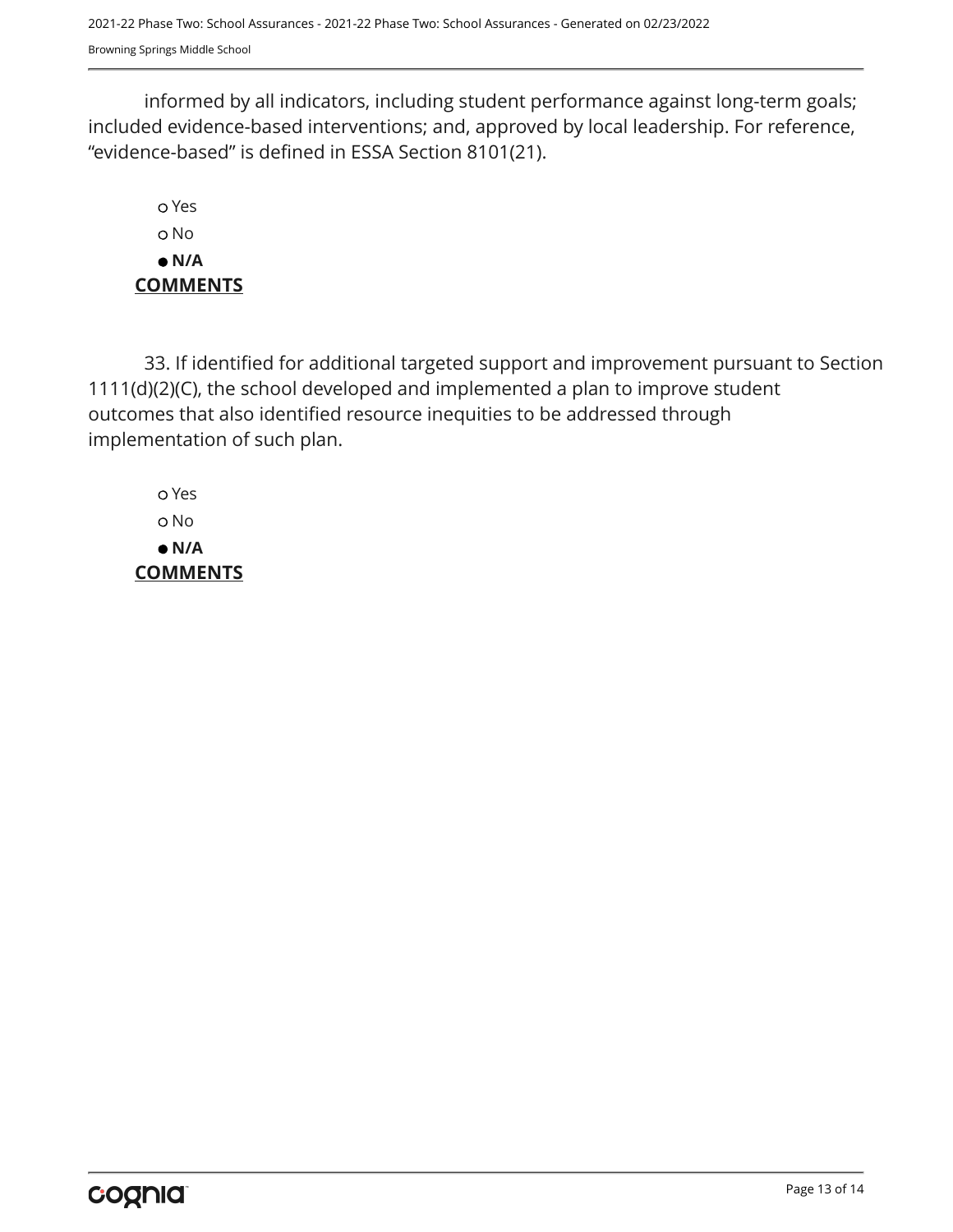informed by all indicators, including student performance against long-term goals; included evidence-based interventions; and, approved by local leadership. For reference, "evidence-based" is defined in ESSA Section 8101(21).

 Yes o No  **N/A COMMENTS**

33. If identified for additional targeted support and improvement pursuant to Section 1111(d)(2)(C), the school developed and implemented a plan to improve student outcomes that also identified resource inequities to be addressed through implementation of such plan.

 Yes No  **N/A COMMENTS**